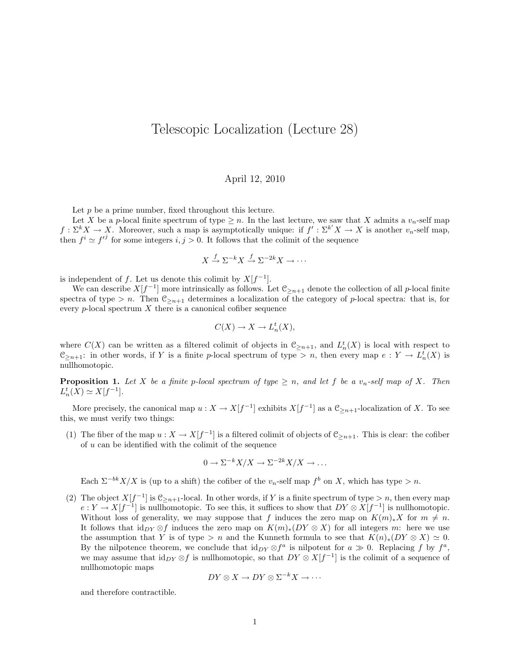## Telescopic Localization (Lecture 28)

## April 12, 2010

Let  $p$  be a prime number, fixed throughout this lecture.

Let X be a p-local finite spectrum of type  $\geq n$ . In the last lecture, we saw that X admits a  $v_n$ -self map  $f: \Sigma^k X \to X$ . Moreover, such a map is asymptotically unique: if  $f': \Sigma^{k'} X \to X$  is another  $v_n$ -self map, then  $f^i \simeq f'^j$  for some integers  $i, j > 0$ . It follows that the colimit of the sequence

$$
X \xrightarrow{f} \Sigma^{-k} X \xrightarrow{f} \Sigma^{-2k} X \to \cdots
$$

is independent of f. Let us denote this colimit by  $X[f^{-1}]$ .

We can describe  $X[f^{-1}]$  more intrinsically as follows. Let  $\mathfrak{C}_{\geq n+1}$  denote the collection of all p-local finite spectra of type > n. Then  $\mathfrak{C}_{\geq n+1}$  determines a localization of the category of p-local spectra: that is, for every  $p$ -local spectrum  $X$  there is a canonical cofiber sequence

$$
C(X) \to X \to L_n^t(X),
$$

where  $C(X)$  can be written as a filtered colimit of objects in  $\mathcal{C}_{\geq n+1}$ , and  $L_n^t(X)$  is local with respect to  $\mathfrak{C}_{\geq n+1}$ : in other words, if Y is a finite p-local spectrum of type > n, then every map  $e: Y \to L^t_n(X)$  is nullhomotopic.

**Proposition 1.** Let X be a finite p-local spectrum of type  $\geq n$ , and let f be a  $v_n$ -self map of X. Then  $L_n^t(X) \simeq X[f^{-1}].$ 

More precisely, the canonical map  $u: X \to X[f^{-1}]$  exhibits  $X[f^{-1}]$  as a  $\mathfrak{C}_{\geq n+1}$ -localization of X. To see this, we must verify two things:

(1) The fiber of the map  $u: X \to X[f^{-1}]$  is a filtered colimit of objects of  $\mathcal{C}_{\geq n+1}$ . This is clear: the cofiber of u can be identified with the colimit of the sequence

$$
0 \to \Sigma^{-k} X/X \to \Sigma^{-2k} X/X \to \dots
$$

Each  $\Sigma^{-bk}X/X$  is (up to a shift) the cofiber of the  $v_n$ -self map  $f^b$  on X, which has type > n.

(2) The object  $X[f^{-1}]$  is  $\mathcal{C}_{\geq n+1}$ -local. In other words, if Y is a finite spectrum of type  $> n$ , then every map  $e: Y \to X[f^{-1}]$  is nullhomotopic. To see this, it suffices to show that  $DY \otimes X[f^{-1}]$  is nullhomotopic. Without loss of generality, we may suppose that f induces the zero map on  $K(m)_*X$  for  $m \neq n$ . It follows that id<sub>DY</sub> ⊗f induces the zero map on  $K(m)_*(DY \otimes X)$  for all integers m: here we use the assumption that Y is of type > n and the Kunneth formula to see that  $K(n)_*(DY \otimes X) \simeq 0$ . By the nilpotence theorem, we conclude that  $\mathrm{id}_{DY} \otimes f^a$  is nilpotent for  $a \gg 0$ . Replacing f by  $f^a$ , we may assume that  $\mathrm{id}_{DY} \otimes f$  is nullhomotopic, so that  $DY \otimes X[f^{-1}]$  is the colimit of a sequence of nullhomotopic maps

$$
DY \otimes X \to DY \otimes \Sigma^{-k} X \to \cdots
$$

and therefore contractible.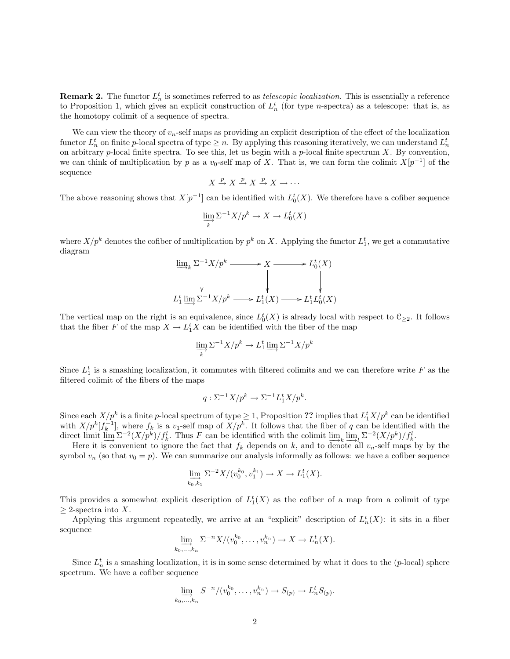**Remark 2.** The functor  $L_n^t$  is sometimes referred to as *telescopic localization*. This is essentially a reference to Proposition 1, which gives an explicit construction of  $L_n^t$  (for type *n*-spectra) as a telescope: that is, as the homotopy colimit of a sequence of spectra.

We can view the theory of  $v_n$ -self maps as providing an explicit description of the effect of the localization functor  $L_n^t$  on finite p-local spectra of type  $\geq n$ . By applying this reasoning iteratively, we can understand  $L_n^t$ on arbitrary  $p$ -local finite spectra. To see this, let us begin with a  $p$ -local finite spectrum  $X$ . By convention, we can think of multiplication by p as a  $v_0$ -self map of X. That is, we can form the colimit  $X[p^{-1}]$  of the sequence

$$
X \xrightarrow{p} X \xrightarrow{p} X \xrightarrow{p} X \to \cdots
$$

The above reasoning shows that  $X[p^{-1}]$  can be identified with  $L_0^t(X)$ . We therefore have a cofiber sequence

$$
\varinjlim_k \Sigma^{-1} X/p^k \to X \to L_0^t(X)
$$

where  $X/p^k$  denotes the cofiber of multiplication by  $p^k$  on X. Applying the functor  $L_1^t$ , we get a commutative diagram

$$
\lim_{k \to \infty} \sum_{k} 1 - X/p^k \longrightarrow X \longrightarrow L_0^t(X)
$$
\n
$$
\downarrow \qquad \qquad \downarrow \qquad \qquad \downarrow
$$
\n
$$
L_1^t \lim_{k \to \infty} \sum_{k} 1 - X/p^k \longrightarrow L_1^t(X) \longrightarrow L_1^t L_0^t(X)
$$

The vertical map on the right is an equivalence, since  $L_0^t(X)$  is already local with respect to  $\mathfrak{C}_{\geq 2}$ . It follows that the fiber F of the map  $X \to L_1^t X$  can be identified with the fiber of the map

$$
\varinjlim_{k} \Sigma^{-1} X/p^{k} \to L_{1}^{t} \varinjlim \Sigma^{-1} X/p^{k}
$$

Since  $L_1^t$  is a smashing localization, it commutes with filtered colimits and we can therefore write F as the filtered colimit of the fibers of the maps

$$
q: \Sigma^{-1}X/p^k \to \Sigma^{-1}L_1^tX/p^k.
$$

Since each  $X/p^k$  is a finite p-local spectrum of type  $\geq 1$ , Proposition ?? implies that  $L_1^t X/p^k$  can be identified with  $X/p^k[f_k^{-1}]$ , where  $f_k$  is a  $v_1$ -self map of  $X/p^k$ . It follows that the fiber of q can be identified with the direct limit  $\lim_{M \to \infty} \Sigma^{-2} (X/p^k) / f_k^l$ . Thus F can be identified with the colimit  $\lim_{M \to \infty} \lim_{M \to \infty} \Sigma^{-2} (X/p^k) / f_k^l$ .

Here it is convenient to ignore the fact that  $f_k$  depends on k, and to denote all  $v_n$ -self maps by by the symbol  $v_n$  (so that  $v_0 = p$ ). We can summarize our analysis informally as follows: we have a cofiber sequence

$$
\lim_{\substack{k_0,k_1}} \Sigma^{-2} X/(v_0^{k_0}, v_1^{k_1}) \to X \to L_1^t(X).
$$

This provides a somewhat explicit description of  $L_1^t(X)$  as the cofiber of a map from a colimit of type  $>$  2-spectra into X.

Applying this argument repeatedly, we arrive at an "explicit" description of  $L_n^t(X)$ : it sits in a fiber sequence

$$
\lim_{k_0,\ldots,k_n} \Sigma^{-n} X/(v_0^{k_0},\ldots,v_n^{k_n}) \to X \to L_n^t(X).
$$

Since  $L_n^t$  is a smashing localization, it is in some sense determined by what it does to the (p-local) sphere spectrum. We have a cofiber sequence

$$
\lim_{k_0,\ldots,k_n} S^{-n}/(v_0^{k_0},\ldots,v_n^{k_n}) \to S_{(p)} \to L_n^t S_{(p)}.
$$